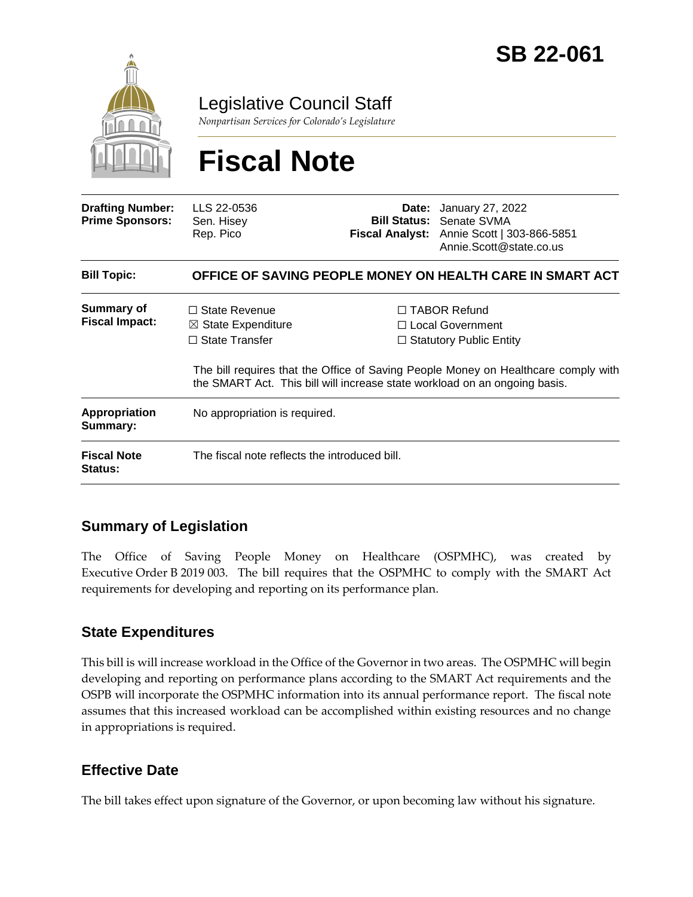

Legislative Council Staff

*Nonpartisan Services for Colorado's Legislature*

# **Fiscal Note**

| <b>Drafting Number:</b><br><b>Prime Sponsors:</b> | LLS 22-0536<br>Sen. Hisey<br>Rep. Pico                                         | Date: | January 27, 2022<br><b>Bill Status: Senate SVMA</b><br>Fiscal Analyst: Annie Scott   303-866-5851<br>Annie.Scott@state.co.us                                                                                                                         |  |
|---------------------------------------------------|--------------------------------------------------------------------------------|-------|------------------------------------------------------------------------------------------------------------------------------------------------------------------------------------------------------------------------------------------------------|--|
| <b>Bill Topic:</b>                                | OFFICE OF SAVING PEOPLE MONEY ON HEALTH CARE IN SMART ACT                      |       |                                                                                                                                                                                                                                                      |  |
| Summary of<br><b>Fiscal Impact:</b>               | $\Box$ State Revenue<br>$\boxtimes$ State Expenditure<br>$\Box$ State Transfer |       | $\Box$ TABOR Refund<br>$\Box$ Local Government<br>$\Box$ Statutory Public Entity<br>The bill requires that the Office of Saving People Money on Healthcare comply with<br>the SMART Act. This bill will increase state workload on an ongoing basis. |  |
| <b>Appropriation</b><br>Summary:                  | No appropriation is required.                                                  |       |                                                                                                                                                                                                                                                      |  |
| <b>Fiscal Note</b><br><b>Status:</b>              | The fiscal note reflects the introduced bill.                                  |       |                                                                                                                                                                                                                                                      |  |

## **Summary of Legislation**

The Office of Saving People Money on Healthcare (OSPMHC), was created by Executive Order B 2019 003. The bill requires that the OSPMHC to comply with the SMART Act requirements for developing and reporting on its performance plan.

## **State Expenditures**

This bill is will increase workload in the Office of the Governor in two areas. The OSPMHC will begin developing and reporting on performance plans according to the SMART Act requirements and the OSPB will incorporate the OSPMHC information into its annual performance report. The fiscal note assumes that this increased workload can be accomplished within existing resources and no change in appropriations is required.

## **Effective Date**

The bill takes effect upon signature of the Governor, or upon becoming law without his signature.